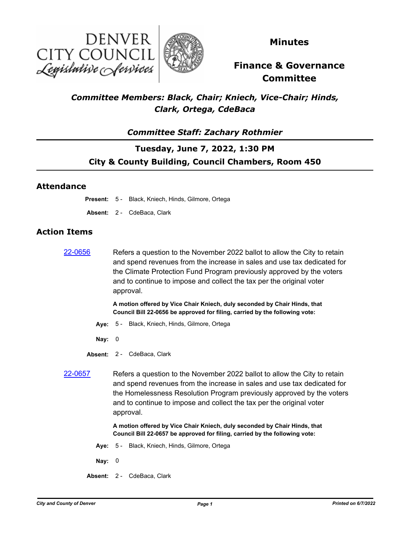



**Minutes**

# **Finance & Governance Committee**

## *Committee Members: Black, Chair; Kniech, Vice-Chair; Hinds, Clark, Ortega, CdeBaca*

## *Committee Staff: Zachary Rothmier*

## **Tuesday, June 7, 2022, 1:30 PM City & County Building, Council Chambers, Room 450**

### **Attendance**

**Present:** 5 - Black, Kniech, Hinds, Gilmore, Ortega

**Absent:** 2 - CdeBaca, Clark

### **Action Items**

[22-0656](http://denver.legistar.com/gateway.aspx?m=l&id=/matter.aspx?key=21723) Refers a question to the November 2022 ballot to allow the City to retain and spend revenues from the increase in sales and use tax dedicated for the Climate Protection Fund Program previously approved by the voters and to continue to impose and collect the tax per the original voter approval.

> **A motion offered by Vice Chair Kniech, duly seconded by Chair Hinds, that Council Bill 22-0656 be approved for filing, carried by the following vote:**

- **Aye:** 5 Black, Kniech, Hinds, Gilmore, Ortega
- **Nay:** 0
- **Absent:** 2 CdeBaca, Clark
- 

[22-0657](http://denver.legistar.com/gateway.aspx?m=l&id=/matter.aspx?key=21724) Refers a question to the November 2022 ballot to allow the City to retain and spend revenues from the increase in sales and use tax dedicated for the Homelessness Resolution Program previously approved by the voters and to continue to impose and collect the tax per the original voter approval.

> **A motion offered by Vice Chair Kniech, duly seconded by Chair Hinds, that Council Bill 22-0657 be approved for filing, carried by the following vote:**

- **Aye:** 5 Black, Kniech, Hinds, Gilmore, Ortega
- **Nay:** 0
- **Absent:** 2 CdeBaca, Clark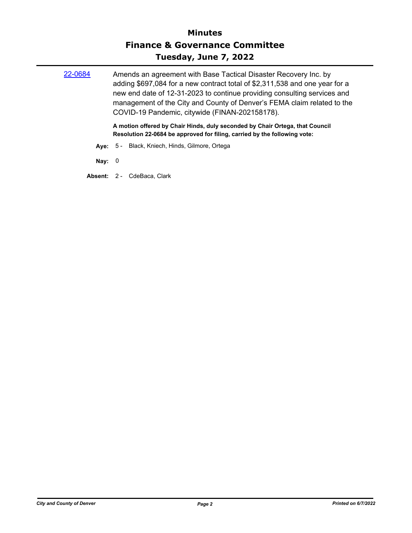| 22-0684  | Amends an agreement with Base Tactical Disaster Recovery Inc. by<br>adding \$697,084 for a new contract total of \$2,311,538 and one year for a<br>new end date of 12-31-2023 to continue providing consulting services and<br>management of the City and County of Denver's FEMA claim related to the<br>COVID-19 Pandemic, citywide (FINAN-202158178).<br>A motion offered by Chair Hinds, duly seconded by Chair Ortega, that Council<br>Resolution 22-0684 be approved for filing, carried by the following vote: |
|----------|-----------------------------------------------------------------------------------------------------------------------------------------------------------------------------------------------------------------------------------------------------------------------------------------------------------------------------------------------------------------------------------------------------------------------------------------------------------------------------------------------------------------------|
|          | Ave: 5 - Black, Kniech, Hinds, Gilmore, Ortega                                                                                                                                                                                                                                                                                                                                                                                                                                                                        |
| Nay: $0$ |                                                                                                                                                                                                                                                                                                                                                                                                                                                                                                                       |
|          | <b>Absent: 2 - CdeBaca, Clark</b>                                                                                                                                                                                                                                                                                                                                                                                                                                                                                     |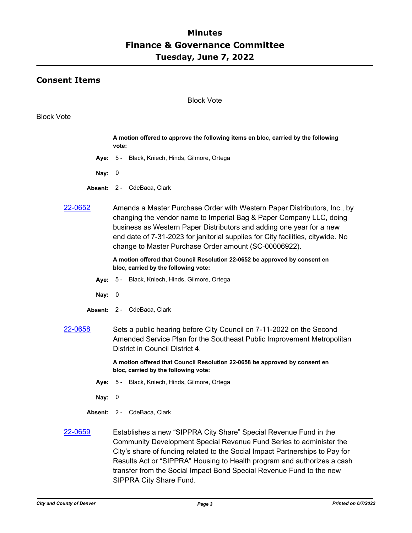### **Consent Items**

#### Block Vote

#### Block Vote

|                | A motion offered to approve the following items en bloc, carried by the following<br>vote:                                                                                                                                                                                                                                                                          |
|----------------|---------------------------------------------------------------------------------------------------------------------------------------------------------------------------------------------------------------------------------------------------------------------------------------------------------------------------------------------------------------------|
| Ave:           | 5 - Black, Kniech, Hinds, Gilmore, Ortega                                                                                                                                                                                                                                                                                                                           |
| Nay:           | 0                                                                                                                                                                                                                                                                                                                                                                   |
|                | Absent: 2 - CdeBaca, Clark                                                                                                                                                                                                                                                                                                                                          |
| <u>22-0652</u> | Amends a Master Purchase Order with Western Paper Distributors, Inc., by<br>changing the vendor name to Imperial Bag & Paper Company LLC, doing<br>business as Western Paper Distributors and adding one year for a new<br>end date of 7-31-2023 for janitorial supplies for City facilities, citywide. No<br>change to Master Purchase Order amount (SC-00006922). |
|                | A motion offered that Council Resolution 22-0652 be approved by consent en<br>bloc, carried by the following vote:                                                                                                                                                                                                                                                  |
|                | Aye: 5 - Black, Kniech, Hinds, Gilmore, Ortega                                                                                                                                                                                                                                                                                                                      |
| Nay:           | 0                                                                                                                                                                                                                                                                                                                                                                   |
|                | Absent: 2 - CdeBaca, Clark                                                                                                                                                                                                                                                                                                                                          |
| 22-0658        | Sets a public hearing before City Council on 7-11-2022 on the Second<br>Amended Service Plan for the Southeast Public Improvement Metropolitan<br>District in Council District 4.                                                                                                                                                                                   |
|                | A motion offered that Council Resolution 22-0658 be approved by consent en<br>bloc, carried by the following vote:                                                                                                                                                                                                                                                  |
|                | Aye: 5 - Black, Kniech, Hinds, Gilmore, Ortega                                                                                                                                                                                                                                                                                                                      |
| Nay:           | $\boldsymbol{0}$                                                                                                                                                                                                                                                                                                                                                    |
|                | Absent: 2 - CdeBaca, Clark                                                                                                                                                                                                                                                                                                                                          |
| 22-0659        | Establishes a new "SIPPRA City Share" Special Revenue Fund in the<br>Community Development Special Revenue Fund Series to administer the<br>City's share of funding related to the Social Impact Partnerships to Pay for<br>$D_{\text{scollto}}$ Ast suffered A. Housing to Haelth program and sufficience a sack                                                   |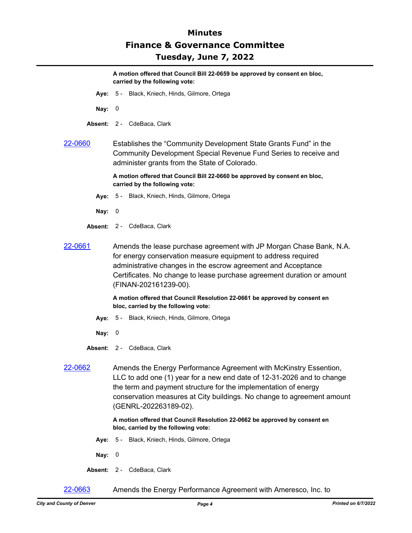**A motion offered that Council Bill 22-0659 be approved by consent en bloc, carried by the following vote:**

- **Aye:** 5 Black, Kniech, Hinds, Gilmore, Ortega
- **Nay:** 0
- **Absent:** 2 CdeBaca, Clark
- [22-0660](http://denver.legistar.com/gateway.aspx?m=l&id=/matter.aspx?key=21727) Establishes the "Community Development State Grants Fund" in the Community Development Special Revenue Fund Series to receive and administer grants from the State of Colorado.

**A motion offered that Council Bill 22-0660 be approved by consent en bloc, carried by the following vote:**

- **Aye:** 5 Black, Kniech, Hinds, Gilmore, Ortega
- **Nay:** 0
- **Absent:** 2 CdeBaca, Clark
- [22-0661](http://denver.legistar.com/gateway.aspx?m=l&id=/matter.aspx?key=21728) Amends the lease purchase agreement with JP Morgan Chase Bank, N.A. for energy conservation measure equipment to address required administrative changes in the escrow agreement and Acceptance Certificates. No change to lease purchase agreement duration or amount (FINAN-202161239-00).

**A motion offered that Council Resolution 22-0661 be approved by consent en bloc, carried by the following vote:**

- **Aye:** 5 Black, Kniech, Hinds, Gilmore, Ortega
- **Nay:** 0
- **Absent:** 2 CdeBaca, Clark
- [22-0662](http://denver.legistar.com/gateway.aspx?m=l&id=/matter.aspx?key=21729) Amends the Energy Performance Agreement with McKinstry Essention, LLC to add one (1) year for a new end date of 12-31-2026 and to change the term and payment structure for the implementation of energy conservation measures at City buildings. No change to agreement amount (GENRL-202263189-02).

#### **A motion offered that Council Resolution 22-0662 be approved by consent en bloc, carried by the following vote:**

- **Aye:** 5 Black, Kniech, Hinds, Gilmore, Ortega
- **Nay:** 0
- **Absent:** 2 CdeBaca, Clark

[22-0663](http://denver.legistar.com/gateway.aspx?m=l&id=/matter.aspx?key=21730) Amends the Energy Performance Agreement with Ameresco, Inc. to